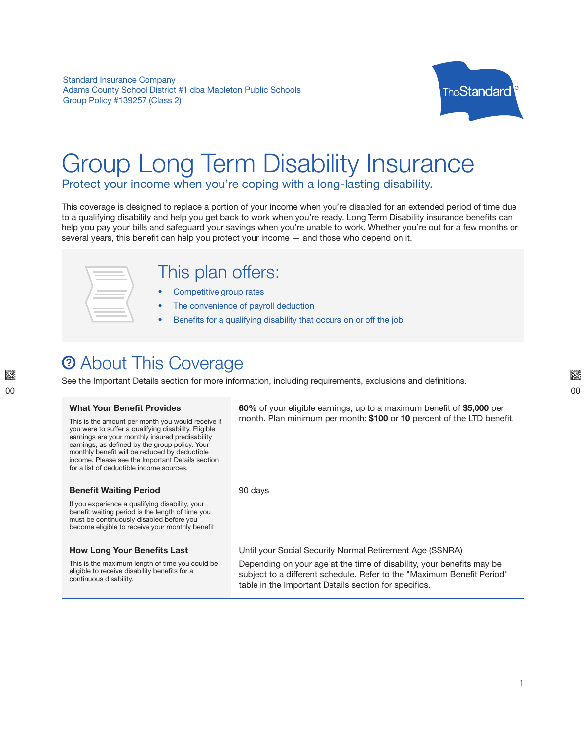**Standard Insurance Company** Adams County School District #1 dba Mapleton Public Schools Group Policy #139257 (Class 2)



# **Group Long Term Disability Insurance**

Protect your income when you're coping with a long-lasting disability.

This coverage is designed to replace a portion of your income when you're disabled for an extended period of time due to a qualifying disability and help you get back to work when you're ready. Long Term Disability insurance benefits can help you pay your bills and safeguard your savings when you're unable to work. Whether you're out for a few months or several years, this benefit can help you protect your income - and those who depend on it.



### This plan offers:

- Competitive group rates
- The convenience of payroll deduction
- Benefits for a qualifying disability that occurs on or off the job

### **2 About This Coverage**

See the Important Details section for more information, including requirements, exclusions and definitions.

#### **What Your Benefit Provides**

This is the amount per month you would receive if you were to suffer a qualifying disability. Eligible earnings are your monthly insured predisability earnings, as defined by the group policy. Your monthly benefit will be reduced by deductible income. Please see the Important Details section for a list of deductible income sources.

### **Benefit Waiting Period**

If you experience a qualifying disability, your benefit waiting period is the length of time you must be continuously disabled before you become eligible to receive your monthly benefit

### **How Long Your Benefits Last**

This is the maximum length of time you could be eligible to receive disability benefits for a continuous disability.

60% of your eligible earnings, up to a maximum benefit of \$5,000 per month. Plan minimum per month: \$100 or 10 percent of the LTD benefit.

90 days

Until your Social Security Normal Retirement Age (SSNRA)

Depending on your age at the time of disability, your benefits may be subject to a different schedule. Refer to the "Maximum Benefit Period" table in the Important Details section for specifics.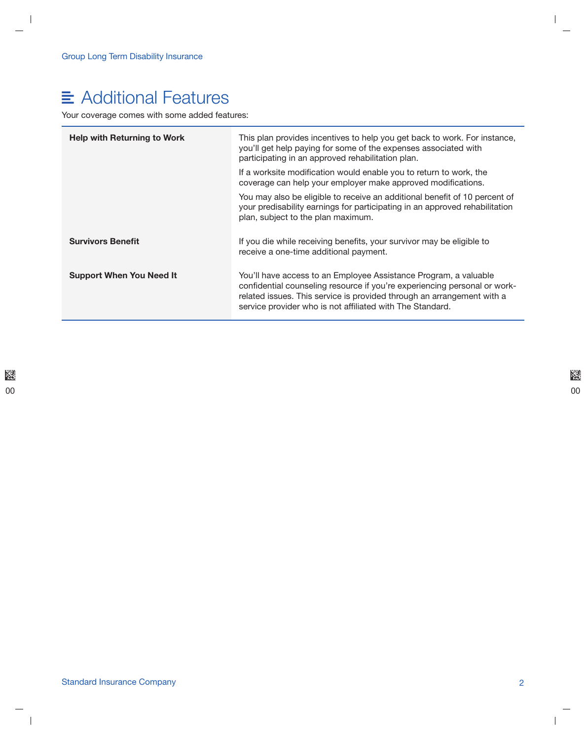## $\equiv$  Additional Features

Your coverage comes with some added features:

| <b>Help with Returning to Work</b> | This plan provides incentives to help you get back to work. For instance,<br>you'll get help paying for some of the expenses associated with<br>participating in an approved rehabilitation plan.                                                                                    |
|------------------------------------|--------------------------------------------------------------------------------------------------------------------------------------------------------------------------------------------------------------------------------------------------------------------------------------|
|                                    | If a worksite modification would enable you to return to work, the<br>coverage can help your employer make approved modifications.                                                                                                                                                   |
|                                    | You may also be eligible to receive an additional benefit of 10 percent of<br>your predisability earnings for participating in an approved rehabilitation<br>plan, subject to the plan maximum.                                                                                      |
| <b>Survivors Benefit</b>           | If you die while receiving benefits, your survivor may be eligible to<br>receive a one-time additional payment.                                                                                                                                                                      |
| <b>Support When You Need It</b>    | You'll have access to an Employee Assistance Program, a valuable<br>confidential counseling resource if you're experiencing personal or work-<br>related issues. This service is provided through an arrangement with a<br>service provider who is not affiliated with The Standard. |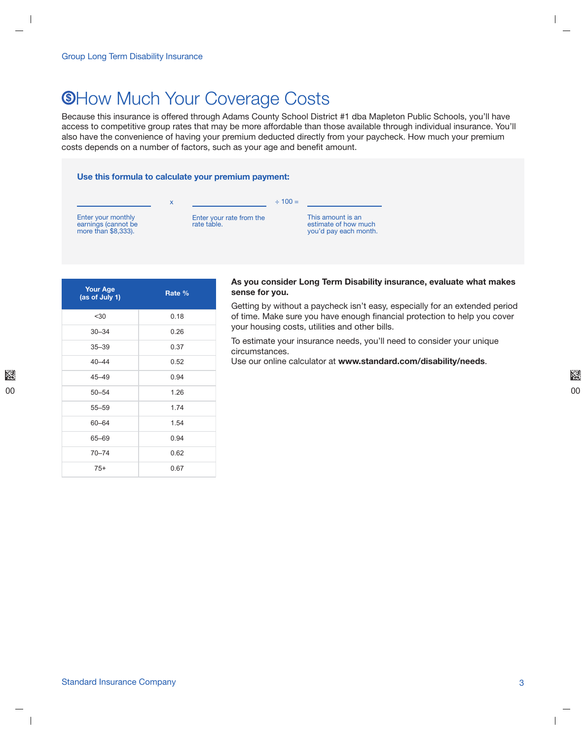### **®How Much Your Coverage Costs**

Because this insurance is offered through Adams County School District #1 dba Mapleton Public Schools, you'll have access to competitive group rates that may be more affordable than those available through individual insurance. You'll also have the convenience of having your premium deducted directly from your paycheck. How much your premium costs depends on a number of factors, such as your age and benefit amount.

#### Use this formula to calculate your premium payment:



| <b>Your Age</b><br>(as of July 1) | Rate % |
|-----------------------------------|--------|
| < 30                              | 0.18   |
| $30 - 34$                         | 0.26   |
| $35 - 39$                         | 0.37   |
| $40 - 44$                         | 0.52   |
| $45 - 49$                         | 0.94   |
| $50 - 54$                         | 1.26   |
| $55 - 59$                         | 1.74   |
| $60 - 64$                         | 1.54   |
| 65-69                             | 0.94   |
| $70 - 74$                         | 0.62   |
| $75+$                             | 0.67   |

#### As you consider Long Term Disability insurance, evaluate what makes sense for you.

Getting by without a paycheck isn't easy, especially for an extended period of time. Make sure you have enough financial protection to help you cover your housing costs, utilities and other bills.

To estimate your insurance needs, you'll need to consider your unique circumstances.

Use our online calculator at www.standard.com/disability/needs.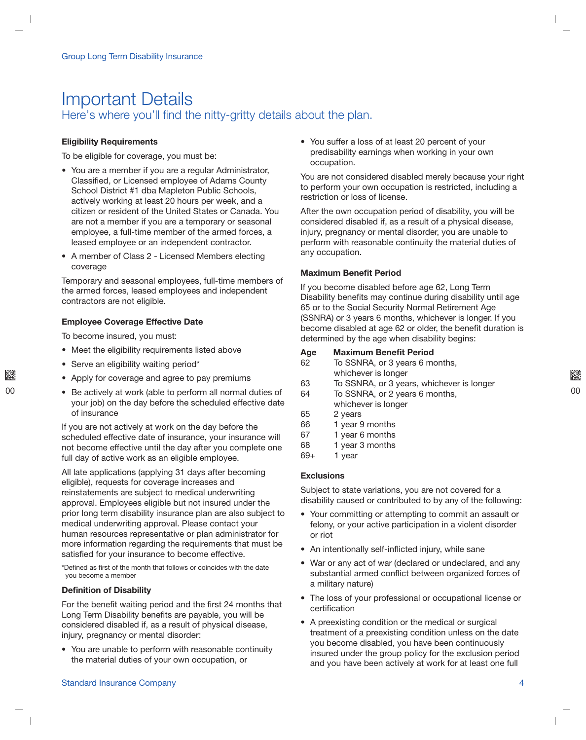### **Important Details** Here's where you'll find the nitty-gritty details about the plan.

#### **Eligibility Requirements**

To be eligible for coverage, you must be:

- You are a member if you are a regular Administrator, Classified, or Licensed employee of Adams County School District #1 dba Mapleton Public Schools, actively working at least 20 hours per week, and a citizen or resident of the United States or Canada. You are not a member if you are a temporary or seasonal employee, a full-time member of the armed forces, a leased employee or an independent contractor.
- A member of Class 2 Licensed Members electing coverage

Temporary and seasonal employees, full-time members of the armed forces, leased employees and independent contractors are not eligible.

#### **Employee Coverage Effective Date**

To become insured, you must:

- Meet the eligibility requirements listed above
- Serve an eligibility waiting period\*
- Apply for coverage and agree to pay premiums
- Be actively at work (able to perform all normal duties of your job) on the day before the scheduled effective date of insurance

If you are not actively at work on the day before the scheduled effective date of insurance, your insurance will not become effective until the day after you complete one full day of active work as an eligible employee.

All late applications (applying 31 days after becoming eligible), requests for coverage increases and reinstatements are subject to medical underwriting approval. Employees eligible but not insured under the prior long term disability insurance plan are also subject to medical underwriting approval. Please contact your human resources representative or plan administrator for more information regarding the requirements that must be satisfied for your insurance to become effective.

\*Defined as first of the month that follows or coincides with the date you become a member

#### **Definition of Disability**

For the benefit waiting period and the first 24 months that Long Term Disability benefits are payable, you will be considered disabled if, as a result of physical disease, injury, pregnancy or mental disorder:

• You are unable to perform with reasonable continuity the material duties of your own occupation, or

• You suffer a loss of at least 20 percent of your predisability earnings when working in your own occupation.

You are not considered disabled merely because your right to perform your own occupation is restricted, including a restriction or loss of license.

After the own occupation period of disability, you will be considered disabled if, as a result of a physical disease, injury, pregnancy or mental disorder, you are unable to perform with reasonable continuity the material duties of any occupation.

#### **Maximum Benefit Period**

If you become disabled before age 62, Long Term Disability benefits may continue during disability until age 65 or to the Social Security Normal Retirement Age (SSNRA) or 3 years 6 months, whichever is longer. If you become disabled at age 62 or older, the benefit duration is determined by the age when disability begins:

#### **Maximum Benefit Period** Age

- 62 To SSNRA, or 3 years 6 months, whichever is longer
- 63 To SSNRA, or 3 years, whichever is longer
- 64 To SSNRA, or 2 years 6 months, whichever is longer
- 65 2 years
- 66 1 year 9 months
- 67 1 year 6 months
- 68 1 year 3 months
- $69+$ 1 year

#### **Exclusions**

Subject to state variations, you are not covered for a disability caused or contributed to by any of the following:

- Your committing or attempting to commit an assault or felony, or your active participation in a violent disorder or riot
- An intentionally self-inflicted injury, while sane
- War or any act of war (declared or undeclared, and any substantial armed conflict between organized forces of a military nature)
- The loss of your professional or occupational license or certification
- A preexisting condition or the medical or surgical treatment of a preexisting condition unless on the date you become disabled, you have been continuously insured under the group policy for the exclusion period and you have been actively at work for at least one full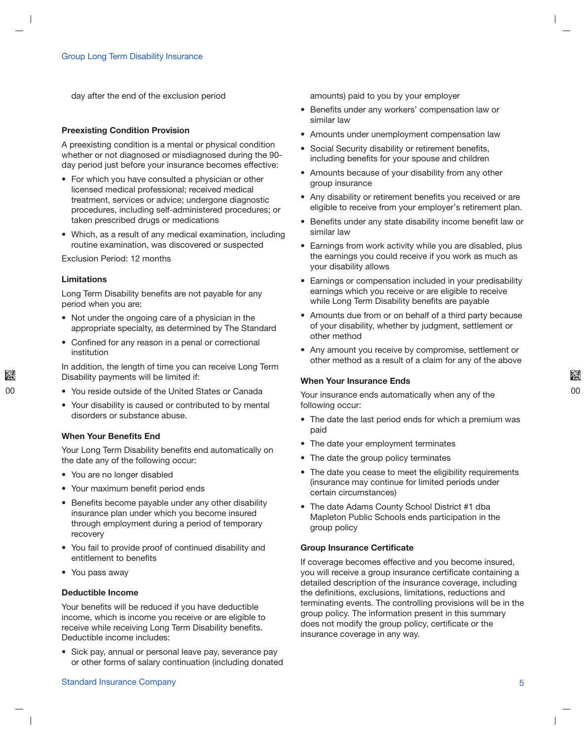day after the end of the exclusion period

#### **Preexisting Condition Provision**

A preexisting condition is a mental or physical condition whether or not diagnosed or misdiagnosed during the 90day period just before your insurance becomes effective:

- For which you have consulted a physician or other licensed medical professional; received medical treatment, services or advice; undergone diagnostic procedures, including self-administered procedures; or taken prescribed drugs or medications
- Which, as a result of any medical examination, including routine examination, was discovered or suspected

Exclusion Period: 12 months

#### Limitations

Long Term Disability benefits are not payable for any period when you are:

- Not under the ongoing care of a physician in the appropriate specialty, as determined by The Standard
- Confined for any reason in a penal or correctional institution

In addition, the length of time you can receive Long Term Disability payments will be limited if:

- You reside outside of the United States or Canada
- Your disability is caused or contributed to by mental disorders or substance abuse.

#### When Your Benefits End

Your Long Term Disability benefits end automatically on the date any of the following occur:

- You are no longer disabled
- Your maximum benefit period ends
- Benefits become payable under any other disability insurance plan under which you become insured through employment during a period of temporary recovery
- You fail to provide proof of continued disability and entitlement to benefits
- You pass away

#### Deductible Income

Your benefits will be reduced if you have deductible income, which is income you receive or are eligible to receive while receiving Long Term Disability benefits. Deductible income includes:

• Sick pay, annual or personal leave pay, severance pay or other forms of salary continuation (including donated amounts) paid to you by your employer

- Benefits under any workers' compensation law or similar law
- Amounts under unemployment compensation law
- Social Security disability or retirement benefits, including benefits for your spouse and children
- Amounts because of your disability from any other group insurance
- Any disability or retirement benefits you received or are eligible to receive from your employer's retirement plan.
- Benefits under any state disability income benefit law or similar law
- Earnings from work activity while you are disabled, plus the earnings you could receive if you work as much as your disability allows
- Earnings or compensation included in your predisability earnings which you receive or are eligible to receive while Long Term Disability benefits are payable
- Amounts due from or on behalf of a third party because of your disability, whether by judgment, settlement or other method
- Any amount you receive by compromise, settlement or other method as a result of a claim for any of the above

#### When Your Insurance Ends

Your insurance ends automatically when any of the following occur:

- The date the last period ends for which a premium was paid
- The date your employment terminates
- The date the group policy terminates
- The date you cease to meet the eligibility requirements (insurance may continue for limited periods under certain circumstances)
- The date Adams County School District #1 dba Mapleton Public Schools ends participation in the group policy

#### Group Insurance Certificate

If coverage becomes effective and you become insured, you will receive a group insurance certificate containing a detailed description of the insurance coverage, including the definitions, exclusions, limitations, reductions and terminating events. The controlling provisions will be in the group policy. The information present in this summary does not modify the group policy, certificate or the insurance coverage in any way.

#### Standard Insurance Company and the company of the company of the company of the company of the company of the company of the company of the company of the company of the company of the company of the company of the company